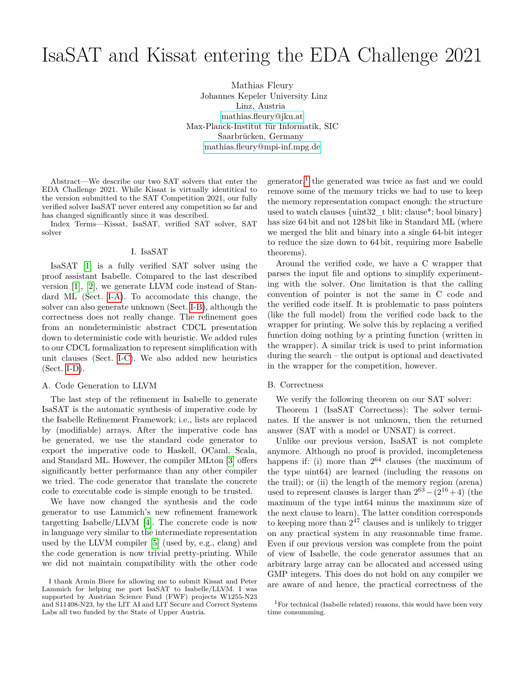# IsaSAT and Kissat entering the EDA Challenge 2021

Mathias Fleury Johannes Kepeler University Linz Linz, Austria [mathias.fleury@jku.at](mailto:mathias.fleury@jku.at) Max-Planck-Institut für Informatik, SIC Saarbrücken, Germany [mathias.fleury@mpi-inf.mpg.de](mailto:mathias.fleury@mpi-inf.mpg.de)

Abstract—We describe our two SAT solvers that enter the EDA Challenge 2021. While Kissat is virtually identitical to the version submitted to the SAT Competition 2021, our fully verified solver IsaSAT never entered any competition so far and has changed significantly since it was described.

Index Terms—Kissat, IsaSAT, verified SAT solver, SAT solver

### I. IsaSAT

IsaSAT [\[1\]](#page-1-0) is a fully verified SAT solver using the proof assistant Isabelle. Compared to the last described version [\[1\]](#page-1-0), [\[2\]](#page-1-1), we generate LLVM code instead of Standard ML (Sect. [I-A\)](#page-0-0). To accomodate this change, the solver can also generate unknown (Sect. [I-B\)](#page-0-1), although the correctness does not really change. The refinement goes from an nondeterministic abstract CDCL presentation down to deterministic code with heuristic. We added rules to our CDCL formalization to represent simplification with unit clauses (Sect. [I-C\)](#page-1-2). We also added new heuristics (Sect. [I-D\)](#page-1-3).

## <span id="page-0-0"></span>A. Code Generation to LLVM

The last step of the refinement in Isabelle to generate IsaSAT is the automatic synthesis of imperative code by the Isabelle Refinement Framework; i.e., lists are replaced by (modifiable) arrays. After the imperative code has be generated, we use the standard code generator to export the imperative code to Haskell, OCaml, Scala, and Standard ML. However, the compiler MLton [\[3\]](#page-1-4) offers significantly better performance than any other compiler we tried. The code generator that translate the concrete code to executable code is simple enough to be trusted.

We have now changed the synthesis and the code generator to use Lammich's new refinement framework targetting Isabelle/LLVM [\[4\]](#page-1-5). The concrete code is now in language very similar to the intermediate representation used by the LLVM compiler [\[5\]](#page-1-6) (used by, e.g., clang) and the code generation is now trivial pretty-printing. While we did not maintain compatibility with the other code

generator,<sup>[1](#page-0-2)</sup> the generated was twice as fast and we could remove some of the memory tricks we had to use to keep the memory representation compact enough: the structure used to watch clauses {uint32\_t blit; clause\*; bool binary} has size 64 bit and not 128 bit like in Standard ML (where we merged the blit and binary into a single 64-bit integer to reduce the size down to 64 bit, requiring more Isabelle theorems).

Around the verified code, we have a C wrapper that parses the input file and options to simplify experimenting with the solver. One limitation is that the calling convention of pointer is not the same in C code and the verified code itself. It is problematic to pass pointers (like the full model) from the verified code back to the wrapper for printing. We solve this by replacing a verified function doing nothing by a printing function (written in the wrapper). A similar trick is used to print information during the search – the output is optional and deactivated in the wrapper for the competition, however.

## <span id="page-0-1"></span>B. Correctness

We verify the following theorem on our SAT solver:

Theorem 1 (IsaSAT Correctness): The solver terminates. If the answer is not unknown, then the returned answer (SAT with a model or UNSAT) is correct.

Unlike our previous version, IsaSAT is not complete anymore. Although no proof is provided, incompleteness happens if: (i) more than  $2^{64}$  clauses (the maximum of the type uint64) are learned (including the reasons on the trail); or (ii) the length of the memory region (arena) used to represent clauses is larger than  $2^{63} - (2^{16} + 4)$  (the maximum of the type int64 minus the maximum size of the next clause to learn). The latter condition corresponds to keeping more than  $2^{47}$  clauses and is unlikely to trigger on any practical system in any reasonnable time frame. Even if our previous version was complete from the point of view of Isabelle, the code generator assumes that an arbitrary large array can be allocated and accessed using GMP integers. This does do not hold on any compiler we are aware of and hence, the practical correctness of the

I thank Armin Biere for allowing me to submit Kissat and Peter Lammich for helping me port IsaSAT to Isabelle/LLVM. I was supported by Austrian Science Fund (FWF) projects W1255-N23 and S11408-N23, by the LIT AI and LIT Secure and Correct Systems Labs all two funded by the State of Upper Austria.

<span id="page-0-2"></span> $1$ For technical (Isabelle related) reasons, this would have been very time consumming.